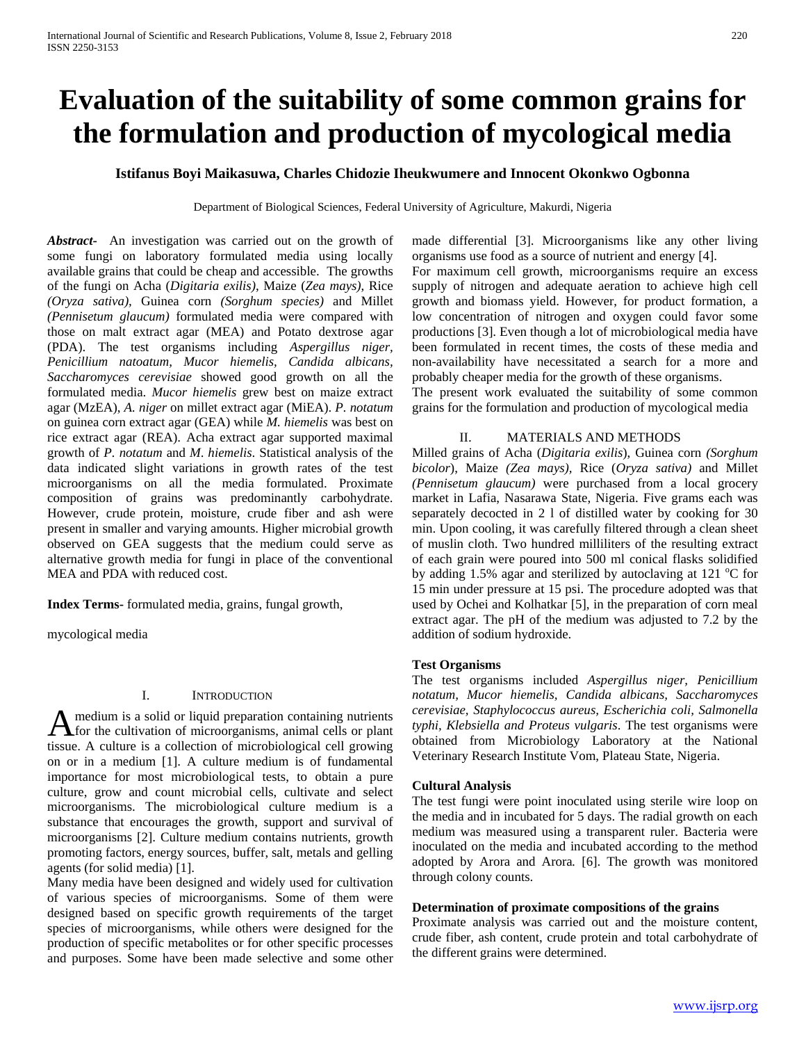# **Evaluation of the suitability of some common grains for the formulation and production of mycological media**

## **Istifanus Boyi Maikasuwa, Charles Chidozie Iheukwumere and Innocent Okonkwo Ogbonna**

Department of Biological Sciences, Federal University of Agriculture, Makurdi, Nigeria

*Abstract***-** An investigation was carried out on the growth of some fungi on laboratory formulated media using locally available grains that could be cheap and accessible. The growths of the fungi on Acha (*Digitaria exilis)*, Maize (*Zea mays)*, Rice *(Oryza sativa),* Guinea corn *(Sorghum species)* and Millet *(Pennisetum glaucum)* formulated media were compared with those on malt extract agar (MEA) and Potato dextrose agar (PDA). The test organisms including *Aspergillus niger, Penicillium natoatum, Mucor hiemelis, Candida albicans, Saccharomyces cerevisiae* showed good growth on all the formulated media. *Mucor hiemelis* grew best on maize extract agar (MzEA), *A. niger* on millet extract agar (MiEA). *P. notatum* on guinea corn extract agar (GEA) while *M. hiemelis* was best on rice extract agar (REA). Acha extract agar supported maximal growth of *P. notatum* and *M*. *hiemelis*. Statistical analysis of the data indicated slight variations in growth rates of the test microorganisms on all the media formulated. Proximate composition of grains was predominantly carbohydrate. However, crude protein, moisture, crude fiber and ash were present in smaller and varying amounts. Higher microbial growth observed on GEA suggests that the medium could serve as alternative growth media for fungi in place of the conventional MEA and PDA with reduced cost.

**Index Terms-** formulated media, grains, fungal growth,

mycological media

## I. INTRODUCTION

medium is a solid or liquid preparation containing nutrients A medium is a solid or liquid preparation containing nutrients<br>for the cultivation of microorganisms, animal cells or plant tissue. A culture is a collection of microbiological cell growing on or in a medium [1]. A culture medium is of fundamental importance for most microbiological tests, to obtain a pure culture, grow and count microbial cells, cultivate and select microorganisms. The microbiological culture medium is a substance that encourages the growth, support and survival of microorganisms [2]. Culture medium contains nutrients, growth promoting factors, energy sources, buffer, salt, metals and gelling agents (for solid media) [1].

Many media have been designed and widely used for cultivation of various species of microorganisms. Some of them were designed based on specific growth requirements of the target species of microorganisms, while others were designed for the production of specific metabolites or for other specific processes and purposes. Some have been made selective and some other made differential [3]. Microorganisms like any other living organisms use food as a source of nutrient and energy [4]. For maximum cell growth, microorganisms require an excess supply of nitrogen and adequate aeration to achieve high cell growth and biomass yield. However, for product formation, a low concentration of nitrogen and oxygen could favor some productions [3]. Even though a lot of microbiological media have been formulated in recent times, the costs of these media and non-availability have necessitated a search for a more and probably cheaper media for the growth of these organisms.

The present work evaluated the suitability of some common grains for the formulation and production of mycological media

## II. MATERIALS AND METHODS

Milled grains of Acha (*Digitaria exilis*), Guinea corn *(Sorghum bicolor*), Maize *(Zea mays),* Rice (*Oryza sativa)* and Millet *(Pennisetum glaucum)* were purchased from a local grocery market in Lafia, Nasarawa State, Nigeria. Five grams each was separately decocted in 2 l of distilled water by cooking for 30 min. Upon cooling, it was carefully filtered through a clean sheet of muslin cloth. Two hundred milliliters of the resulting extract of each grain were poured into 500 ml conical flasks solidified by adding 1.5% agar and sterilized by autoclaving at 121 °C for 15 min under pressure at 15 psi. The procedure adopted was that used by Ochei and Kolhatkar [5], in the preparation of corn meal extract agar. The pH of the medium was adjusted to 7.2 by the addition of sodium hydroxide.

## **Test Organisms**

The test organisms included *Aspergillus niger, Penicillium notatum, Mucor hiemelis, Candida albicans, Saccharomyces cerevisiae, Staphylococcus aureus, Escherichia coli, Salmonella typhi, Klebsiella and Proteus vulgaris*. The test organisms were obtained from Microbiology Laboratory at the National Veterinary Research Institute Vom, Plateau State, Nigeria.

#### **Cultural Analysis**

The test fungi were point inoculated using sterile wire loop on the media and in incubated for 5 days. The radial growth on each medium was measured using a transparent ruler. Bacteria were inoculated on the media and incubated according to the method adopted by Arora and Arora*.* [6]. The growth was monitored through colony counts.

#### **Determination of proximate compositions of the grains**

Proximate analysis was carried out and the moisture content, crude fiber, ash content, crude protein and total carbohydrate of the different grains were determined.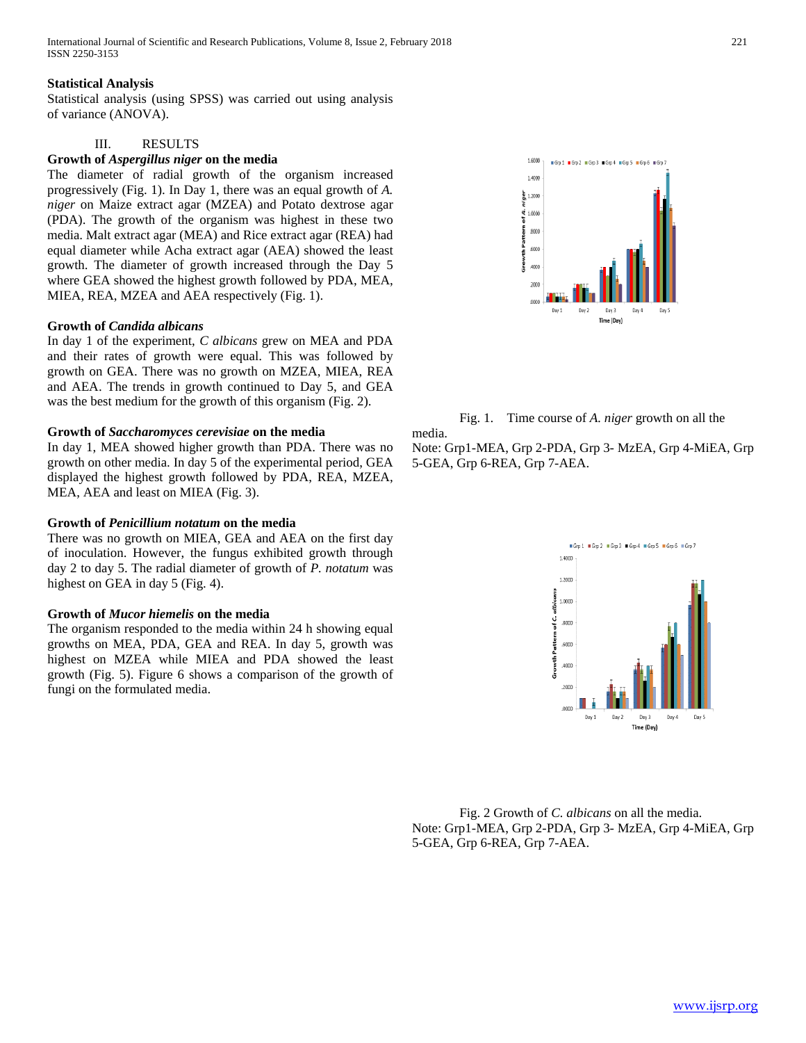## **Statistical Analysis**

Statistical analysis (using SPSS) was carried out using analysis of variance (ANOVA).

# III. RESULTS

## **Growth of** *Aspergillus niger* **on the media**

The diameter of radial growth of the organism increased progressively (Fig. 1). In Day 1, there was an equal growth of *A. niger* on Maize extract agar (MZEA) and Potato dextrose agar (PDA). The growth of the organism was highest in these two media. Malt extract agar (MEA) and Rice extract agar (REA) had equal diameter while Acha extract agar (AEA) showed the least growth. The diameter of growth increased through the Day 5 where GEA showed the highest growth followed by PDA, MEA, MIEA, REA, MZEA and AEA respectively (Fig. 1).

## **Growth of** *Candida albicans*

In day 1 of the experiment, *C albicans* grew on MEA and PDA and their rates of growth were equal. This was followed by growth on GEA. There was no growth on MZEA, MIEA, REA and AEA. The trends in growth continued to Day 5, and GEA was the best medium for the growth of this organism (Fig. 2).

## **Growth of** *Saccharomyces cerevisiae* **on the media**

In day 1, MEA showed higher growth than PDA. There was no growth on other media. In day 5 of the experimental period, GEA displayed the highest growth followed by PDA, REA, MZEA, MEA, AEA and least on MIEA (Fig. 3).

## **Growth of** *Penicillium notatum* **on the media**

There was no growth on MIEA, GEA and AEA on the first day of inoculation. However, the fungus exhibited growth through day 2 to day 5. The radial diameter of growth of *P. notatum* was highest on GEA in day 5 (Fig. 4).

## **Growth of** *Mucor hiemelis* **on the media**

The organism responded to the media within 24 h showing equal growths on MEA, PDA, GEA and REA. In day 5, growth was highest on MZEA while MIEA and PDA showed the least growth (Fig. 5). Figure 6 shows a comparison of the growth of fungi on the formulated media.





Note: Grp1-MEA, Grp 2-PDA, Grp 3- MzEA, Grp 4-MiEA, Grp 5-GEA, Grp 6-REA, Grp 7-AEA.



Fig. 2 Growth of *C. albicans* on all the media. Note: Grp1-MEA, Grp 2-PDA, Grp 3- MzEA, Grp 4-MiEA, Grp 5-GEA, Grp 6-REA, Grp 7-AEA.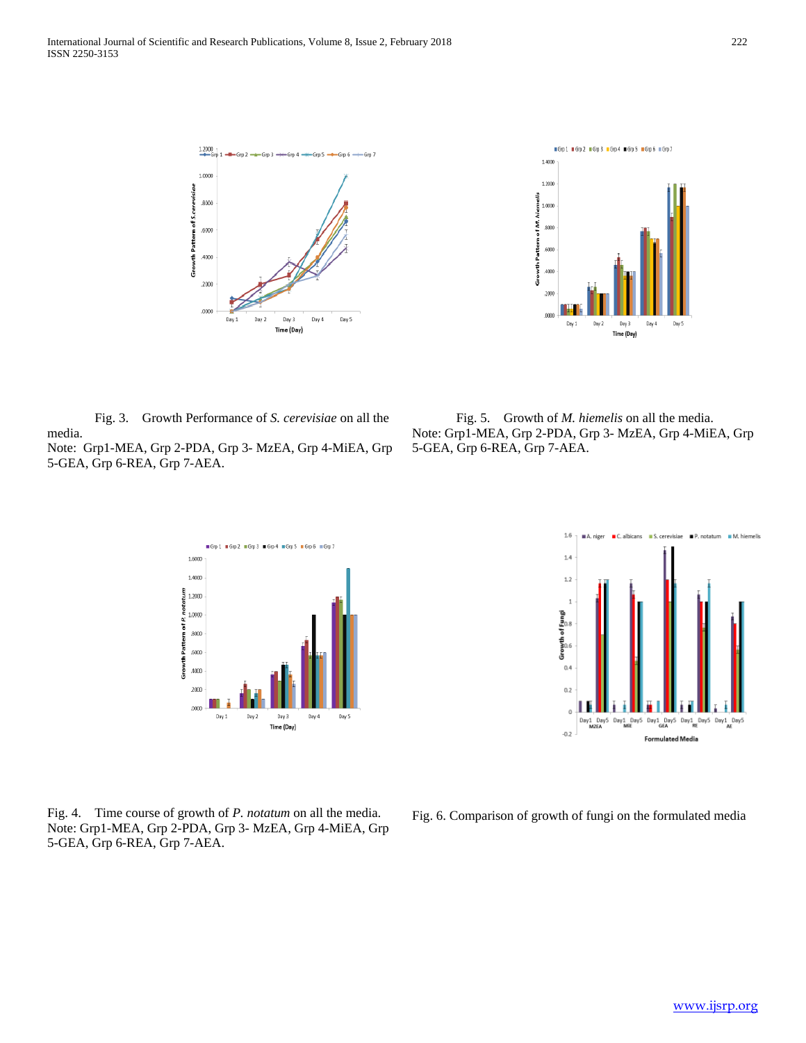



Fig. 3. Growth Performance of *S. cerevisiae* on all the media. Note: Grp1-MEA, Grp 2-PDA, Grp 3- MzEA, Grp 4-MiEA, Grp 5-GEA, Grp 6-REA, Grp 7-AEA.

Fig. 5. Growth of *M. hiemelis* on all the media. Note: Grp1-MEA, Grp 2-PDA, Grp 3- MzEA, Grp 4-MiEA, Grp 5-GEA, Grp 6-REA, Grp 7-AEA.



Fig. 4. Time course of growth of *P. notatum* on all the media. Note: Grp1-MEA, Grp 2-PDA, Grp 3- MzEA, Grp 4-MiEA, Grp 5-GEA, Grp 6-REA, Grp 7-AEA.



Fig. 6. Comparison of growth of fungi on the formulated media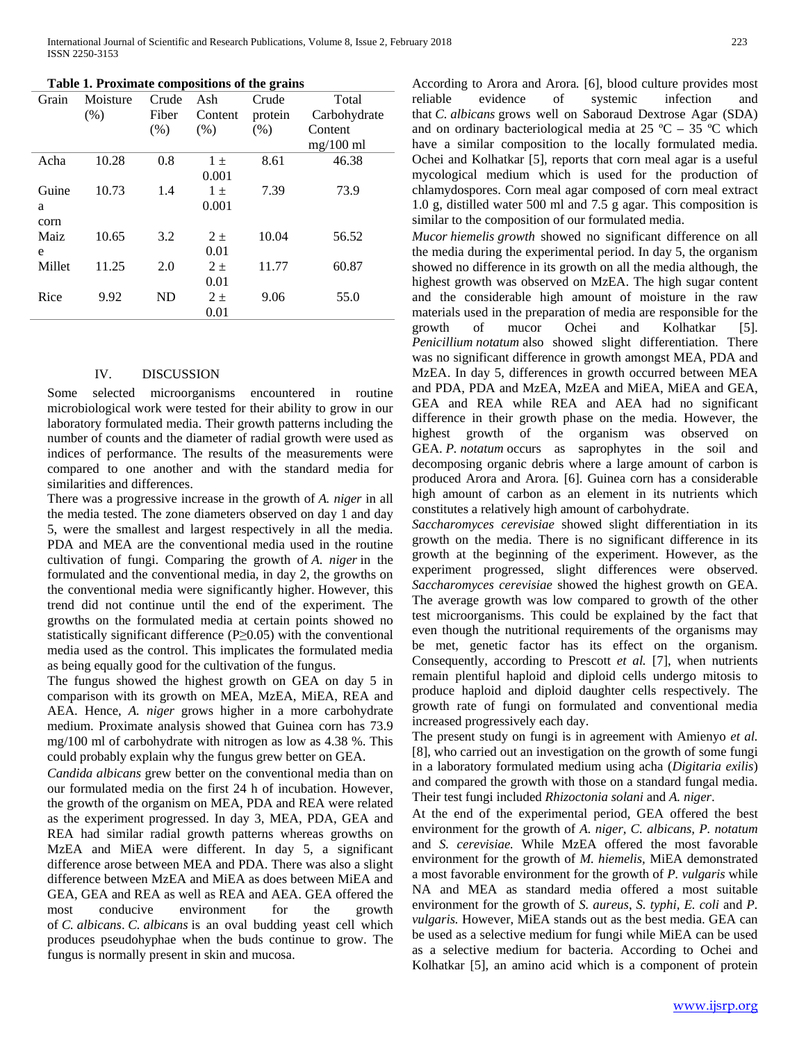| Table 1. Proximate compositions of the grains |  |  |  |
|-----------------------------------------------|--|--|--|
|-----------------------------------------------|--|--|--|

| Grain       | Moisture | Crude | Ash     | Crude   | Total        |  |
|-------------|----------|-------|---------|---------|--------------|--|
|             | (% )     | Fiber | Content | protein | Carbohydrate |  |
|             |          | (% )  | (% )    | (% )    | Content      |  |
|             |          |       |         |         | $mg/100$ ml  |  |
| Acha        | 10.28    | 0.8   | $1 \pm$ | 8.61    | 46.38        |  |
|             |          |       | 0.001   |         |              |  |
| Guine       | 10.73    | 1.4   | $1 \pm$ | 7.39    | 73.9         |  |
| a           |          |       | 0.001   |         |              |  |
| corn        |          |       |         |         |              |  |
| <b>Maiz</b> | 10.65    | 3.2   | $2\pm$  | 10.04   | 56.52        |  |
| e           |          |       | 0.01    |         |              |  |
| Millet      | 11.25    | 2.0   | $2+$    | 11.77   | 60.87        |  |
|             |          |       | 0.01    |         |              |  |
| Rice        | 9.92     | ND    | $2\pm$  | 9.06    | 55.0         |  |
|             |          |       | 0.01    |         |              |  |

#### IV. DISCUSSION

Some selected microorganisms encountered in routine microbiological work were tested for their ability to grow in our laboratory formulated media. Their growth patterns including the number of counts and the diameter of radial growth were used as indices of performance. The results of the measurements were compared to one another and with the standard media for similarities and differences.

There was a progressive increase in the growth of *A. niger* in all the media tested. The zone diameters observed on day 1 and day 5, were the smallest and largest respectively in all the media. PDA and MEA are the conventional media used in the routine cultivation of fungi. Comparing the growth of *A. niger* in the formulated and the conventional media, in day 2, the growths on the conventional media were significantly higher. However, this trend did not continue until the end of the experiment. The growths on the formulated media at certain points showed no statistically significant difference (P≥0.05) with the conventional media used as the control. This implicates the formulated media as being equally good for the cultivation of the fungus.

The fungus showed the highest growth on GEA on day 5 in comparison with its growth on MEA, MzEA, MiEA, REA and AEA. Hence, *A. niger* grows higher in a more carbohydrate medium. Proximate analysis showed that Guinea corn has 73.9 mg/100 ml of carbohydrate with nitrogen as low as 4.38 %. This could probably explain why the fungus grew better on GEA.

*Candida albicans* grew better on the conventional media than on our formulated media on the first 24 h of incubation. However, the growth of the organism on MEA, PDA and REA were related as the experiment progressed. In day 3, MEA, PDA, GEA and REA had similar radial growth patterns whereas growths on MzEA and MiEA were different. In day 5, a significant difference arose between MEA and PDA. There was also a slight difference between MzEA and MiEA as does between MiEA and GEA, GEA and REA as well as REA and AEA. GEA offered the most conducive environment for the growth of *C. albicans*. *C. albicans* is an oval budding yeast cell which produces pseudohyphae when the buds continue to grow. The fungus is normally present in skin and mucosa.

According to Arora and Arora*.* [6], blood culture provides most reliable evidence of systemic infection and that *C. albicans* grows well on Saboraud Dextrose Agar (SDA) and on ordinary bacteriological media at 25  $^{\circ}$ C – 35  $^{\circ}$ C which have a similar composition to the locally formulated media. Ochei and Kolhatkar [5], reports that corn meal agar is a useful mycological medium which is used for the production of chlamydospores. Corn meal agar composed of corn meal extract 1.0 g, distilled water 500 ml and 7.5 g agar. This composition is similar to the composition of our formulated media.

*Mucor hiemelis growth* showed no significant difference on all the media during the experimental period. In day 5, the organism showed no difference in its growth on all the media although, the highest growth was observed on MzEA. The high sugar content and the considerable high amount of moisture in the raw materials used in the preparation of media are responsible for the growth of mucor Ochei and Kolhatkar [5]. of mucor Ochei and Kolhatkar [5]. *Penicillium notatum* also showed slight differentiation. There was no significant difference in growth amongst MEA, PDA and MzEA. In day 5, differences in growth occurred between MEA and PDA, PDA and MzEA, MzEA and MiEA, MiEA and GEA, GEA and REA while REA and AEA had no significant difference in their growth phase on the media. However, the highest growth of the organism was observed on GEA. *P. notatum* occurs as saprophytes in the soil and decomposing organic debris where a large amount of carbon is produced Arora and Arora*.* [6]. Guinea corn has a considerable high amount of carbon as an element in its nutrients which constitutes a relatively high amount of carbohydrate.

*Saccharomyces cerevisiae* showed slight differentiation in its growth on the media. There is no significant difference in its growth at the beginning of the experiment. However, as the experiment progressed, slight differences were observed. *Saccharomyces cerevisiae* showed the highest growth on GEA. The average growth was low compared to growth of the other test microorganisms. This could be explained by the fact that even though the nutritional requirements of the organisms may be met, genetic factor has its effect on the organism. Consequently, according to Prescott *et al.* [7], when nutrients remain plentiful haploid and diploid cells undergo mitosis to produce haploid and diploid daughter cells respectively. The growth rate of fungi on formulated and conventional media increased progressively each day.

The present study on fungi is in agreement with Amienyo *et al.*  [8], who carried out an investigation on the growth of some fungi in a laboratory formulated medium using acha (*Digitaria exilis*) and compared the growth with those on a standard fungal media. Their test fungi included *Rhizoctonia solani* and *A. niger*.

At the end of the experimental period, GEA offered the best environment for the growth of *A. niger, C. albicans, P. notatum* and *S. cerevisiae.* While MzEA offered the most favorable environment for the growth of *M. hiemelis,* MiEA demonstrated a most favorable environment for the growth of *P. vulgaris* while NA and MEA as standard media offered a most suitable environment for the growth of *S. aureus*, *S. typhi, E. coli* and *P. vulgaris.* However, MiEA stands out as the best media. GEA can be used as a selective medium for fungi while MiEA can be used as a selective medium for bacteria. According to Ochei and Kolhatkar [5], an amino acid which is a component of protein